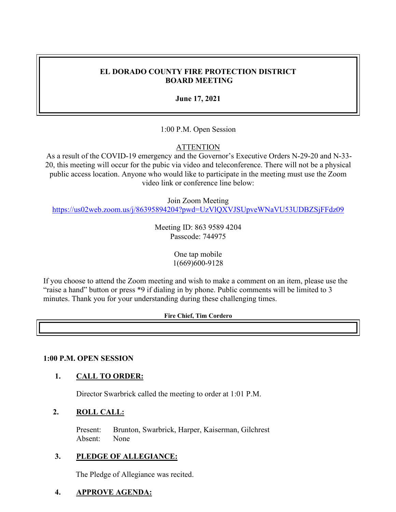## **EL DORADO COUNTY FIRE PROTECTION DISTRICT BOARD MEETING**

**June 17, 2021**

1:00 P.M. Open Session

## **ATTENTION**

As a result of the COVID-19 emergency and the Governor's Executive Orders N-29-20 and N-33- 20, this meeting will occur for the pubic via video and teleconference. There will not be a physical public access location. Anyone who would like to participate in the meeting must use the Zoom video link or conference line below:

Join Zoom Meeting

<https://us02web.zoom.us/j/86395894204?pwd=UzVlQXVJSUpveWNaVU53UDBZSjFFdz09>

Meeting ID: 863 9589 4204 Passcode: 744975

> One tap mobile 1(669)600-9128

If you choose to attend the Zoom meeting and wish to make a comment on an item, please use the "raise a hand" button or press \*9 if dialing in by phone. Public comments will be limited to 3 minutes. Thank you for your understanding during these challenging times.

#### **Fire Chief, Tim Cordero**

#### **1:00 P.M. OPEN SESSION**

#### **1. CALL TO ORDER:**

Director Swarbrick called the meeting to order at 1:01 P.M.

#### **2. ROLL CALL:**

Present: Brunton, Swarbrick, Harper, Kaiserman, Gilchrest Absent: None

#### **3. PLEDGE OF ALLEGIANCE:**

The Pledge of Allegiance was recited.

#### **4. APPROVE AGENDA:**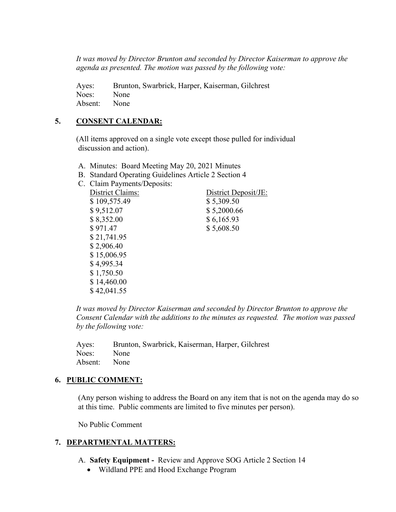*It was moved by Director Brunton and seconded by Director Kaiserman to approve the agenda as presented. The motion was passed by the following vote:*

Ayes: Brunton, Swarbrick, Harper, Kaiserman, Gilchrest Noes: None Absent: None

### **5. CONSENT CALENDAR:**

 (All items approved on a single vote except those pulled for individual discussion and action).

- A. Minutes: Board Meeting May 20, 2021 Minutes
- B. Standard Operating Guidelines Article 2 Section 4
- C. Claim Payments/Deposits:

| District Deposit/JE: |
|----------------------|
| \$5,309.50           |
| \$5,2000.66          |
| \$6,165.93           |
| \$5,608.50           |
|                      |
|                      |
|                      |
|                      |
|                      |
|                      |
|                      |
|                      |

*It was moved by Director Kaiserman and seconded by Director Brunton to approve the Consent Calendar with the additions to the minutes as requested. The motion was passed by the following vote:*

|              | Ayes: Brunton, Swarbrick, Kaiserman, Harper, Gilchrest |
|--------------|--------------------------------------------------------|
| Noes: None   |                                                        |
| Absent: None |                                                        |

#### **6. PUBLIC COMMENT:**

(Any person wishing to address the Board on any item that is not on the agenda may do so at this time. Public comments are limited to five minutes per person).

No Public Comment

## **7. DEPARTMENTAL MATTERS:**

- A. **Safety Equipment -** Review and Approve SOG Article 2 Section 14
	- Wildland PPE and Hood Exchange Program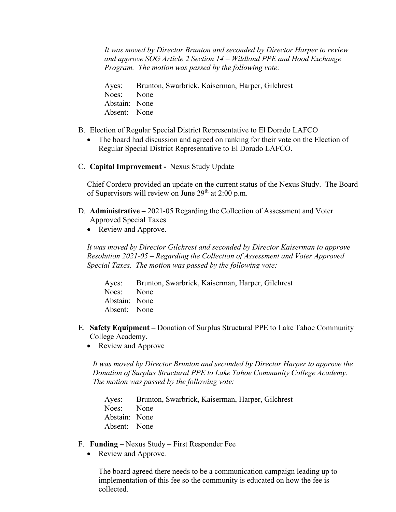*It was moved by Director Brunton and seconded by Director Harper to review and approve SOG Article 2 Section 14 – Wildland PPE and Hood Exchange Program. The motion was passed by the following vote:*

Ayes: Brunton, Swarbrick. Kaiserman, Harper, Gilchrest Noes: None Abstain: None Absent: None

- B. Election of Regular Special District Representative to El Dorado LAFCO
	- The board had discussion and agreed on ranking for their vote on the Election of Regular Special District Representative to El Dorado LAFCO.
- C. **Capital Improvement -** Nexus Study Update

Chief Cordero provided an update on the current status of the Nexus Study. The Board of Supervisors will review on June  $29<sup>th</sup>$  at 2:00 p.m.

- D. **Administrative –** 2021-05 Regarding the Collection of Assessment and Voter Approved Special Taxes
	- Review and Approve.

*It was moved by Director Gilchrest and seconded by Director Kaiserman to approve Resolution 2021-05 – Regarding the Collection of Assessment and Voter Approved Special Taxes. The motion was passed by the following vote:*

Ayes: Brunton, Swarbrick, Kaiserman, Harper, Gilchrest Noes: None Abstain: None Absent: None

- E. **Safety Equipment –** Donation of Surplus Structural PPE to Lake Tahoe Community College Academy.
	- Review and Approve

*It was moved by Director Brunton and seconded by Director Harper to approve the Donation of Surplus Structural PPE to Lake Tahoe Community College Academy. The motion was passed by the following vote:*

Ayes: Brunton, Swarbrick, Kaiserman, Harper, Gilchrest Noes: None Abstain: None Absent: None

- F. **Funding –** Nexus Study First Responder Fee
	- Review and Approve*.*

The board agreed there needs to be a communication campaign leading up to implementation of this fee so the community is educated on how the fee is collected.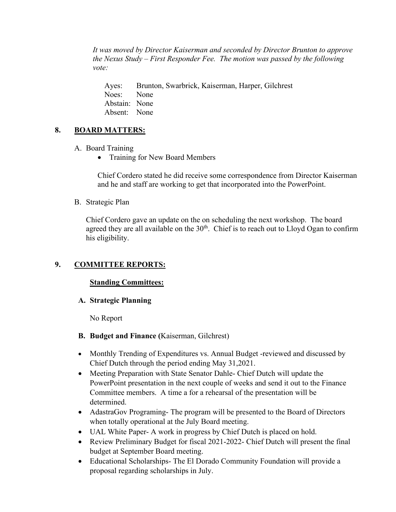*It was moved by Director Kaiserman and seconded by Director Brunton to approve the Nexus Study – First Responder Fee. The motion was passed by the following vote:*

Ayes: Brunton, Swarbrick, Kaiserman, Harper, Gilchrest Noes: None Abstain: None Absent: None

## **8. BOARD MATTERS:**

- A. Board Training
	- Training for New Board Members

Chief Cordero stated he did receive some correspondence from Director Kaiserman and he and staff are working to get that incorporated into the PowerPoint.

B. Strategic Plan

Chief Cordero gave an update on the on scheduling the next workshop. The board agreed they are all available on the  $30<sup>th</sup>$ . Chief is to reach out to Lloyd Ogan to confirm his eligibility.

## **9. COMMITTEE REPORTS:**

#### **Standing Committees:**

#### **A. Strategic Planning**

No Report

## **B. Budget and Finance (**Kaiserman, Gilchrest)

- Monthly Trending of Expenditures vs. Annual Budget -reviewed and discussed by Chief Dutch through the period ending May 31,2021.
- Meeting Preparation with State Senator Dahle- Chief Dutch will update the PowerPoint presentation in the next couple of weeks and send it out to the Finance Committee members. A time a for a rehearsal of the presentation will be determined.
- AdastraGov Programing- The program will be presented to the Board of Directors when totally operational at the July Board meeting.
- UAL White Paper- A work in progress by Chief Dutch is placed on hold.
- Review Preliminary Budget for fiscal 2021-2022- Chief Dutch will present the final budget at September Board meeting.
- Educational Scholarships- The El Dorado Community Foundation will provide a proposal regarding scholarships in July.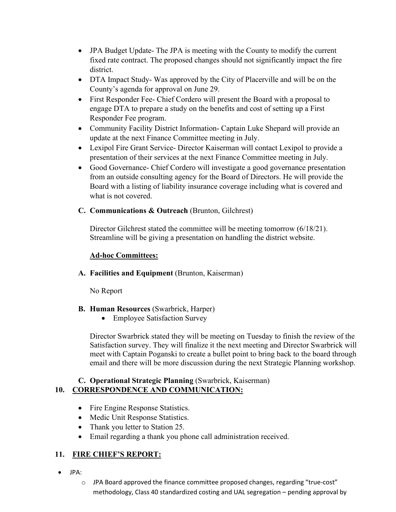- JPA Budget Update- The JPA is meeting with the County to modify the current fixed rate contract. The proposed changes should not significantly impact the fire district.
- DTA Impact Study- Was approved by the City of Placerville and will be on the County's agenda for approval on June 29.
- First Responder Fee- Chief Cordero will present the Board with a proposal to engage DTA to prepare a study on the benefits and cost of setting up a First Responder Fee program.
- Community Facility District Information-Captain Luke Shepard will provide an update at the next Finance Committee meeting in July.
- Lexipol Fire Grant Service- Director Kaiserman will contact Lexipol to provide a presentation of their services at the next Finance Committee meeting in July.
- Good Governance- Chief Cordero will investigate a good governance presentation from an outside consulting agency for the Board of Directors. He will provide the Board with a listing of liability insurance coverage including what is covered and what is not covered.

## **C. Communications & Outreach** (Brunton, Gilchrest)

Director Gilchrest stated the committee will be meeting tomorrow (6/18/21). Streamline will be giving a presentation on handling the district website.

## **Ad-hoc Committees:**

## **A. Facilities and Equipment** (Brunton, Kaiserman)

No Report

## **B. Human Resources** (Swarbrick, Harper)

• Employee Satisfaction Survey

Director Swarbrick stated they will be meeting on Tuesday to finish the review of the Satisfaction survey. They will finalize it the next meeting and Director Swarbrick will meet with Captain Poganski to create a bullet point to bring back to the board through email and there will be more discussion during the next Strategic Planning workshop.

## **C. Operational Strategic Planning** (Swarbrick, Kaiserman) **10. CORRESPONDENCE AND COMMUNICATION:**

- Fire Engine Response Statistics.
- Medic Unit Response Statistics.
- Thank you letter to Station 25.
- Email regarding a thank you phone call administration received.

# **11. FIRE CHIEF'S REPORT:**

- JPA:
	- $\circ$  JPA Board approved the finance committee proposed changes, regarding "true-cost" methodology, Class 40 standardized costing and UAL segregation – pending approval by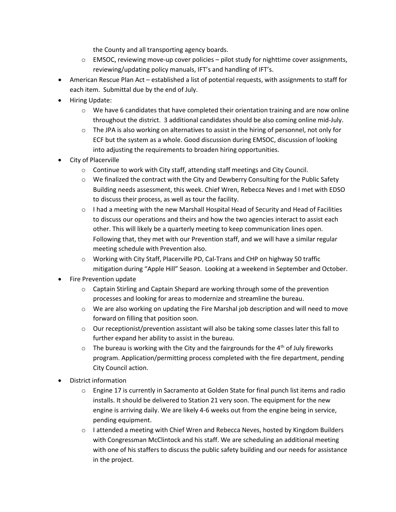the County and all transporting agency boards.

- o EMSOC, reviewing move-up cover policies pilot study for nighttime cover assignments, reviewing/updating policy manuals, IFT's and handling of IFT's.
- American Rescue Plan Act established a list of potential requests, with assignments to staff for each item. Submittal due by the end of July.
- Hiring Update:
	- $\circ$  We have 6 candidates that have completed their orientation training and are now online throughout the district. 3 additional candidates should be also coming online mid-July.
	- $\circ$  The JPA is also working on alternatives to assist in the hiring of personnel, not only for ECF but the system as a whole. Good discussion during EMSOC, discussion of looking into adjusting the requirements to broaden hiring opportunities.
- City of Placerville
	- o Continue to work with City staff, attending staff meetings and City Council.
	- $\circ$  We finalized the contract with the City and Dewberry Consulting for the Public Safety Building needs assessment, this week. Chief Wren, Rebecca Neves and I met with EDSO to discuss their process, as well as tour the facility.
	- $\circ$  I had a meeting with the new Marshall Hospital Head of Security and Head of Facilities to discuss our operations and theirs and how the two agencies interact to assist each other. This will likely be a quarterly meeting to keep communication lines open. Following that, they met with our Prevention staff, and we will have a similar regular meeting schedule with Prevention also.
	- o Working with City Staff, Placerville PD, Cal-Trans and CHP on highway 50 traffic mitigation during "Apple Hill" Season. Looking at a weekend in September and October.
- Fire Prevention update
	- $\circ$  Captain Stirling and Captain Shepard are working through some of the prevention processes and looking for areas to modernize and streamline the bureau.
	- $\circ$  We are also working on updating the Fire Marshal job description and will need to move forward on filling that position soon.
	- o Our receptionist/prevention assistant will also be taking some classes later this fall to further expand her ability to assist in the bureau.
	- $\circ$  The bureau is working with the City and the fairgrounds for the 4<sup>th</sup> of July fireworks program. Application/permitting process completed with the fire department, pending City Council action.
- District information
	- o Engine 17 is currently in Sacramento at Golden State for final punch list items and radio installs. It should be delivered to Station 21 very soon. The equipment for the new engine is arriving daily. We are likely 4-6 weeks out from the engine being in service, pending equipment.
	- o I attended a meeting with Chief Wren and Rebecca Neves, hosted by Kingdom Builders with Congressman McClintock and his staff. We are scheduling an additional meeting with one of his staffers to discuss the public safety building and our needs for assistance in the project.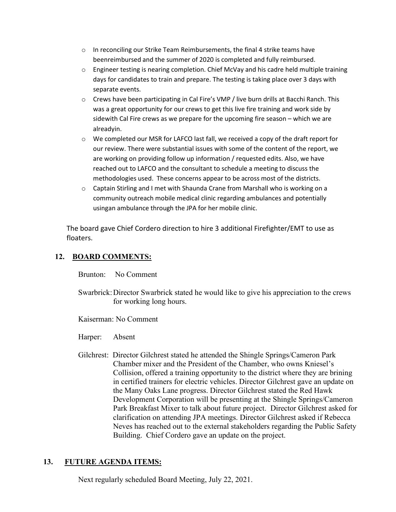- o In reconciling our Strike Team Reimbursements, the final 4 strike teams have beenreimbursed and the summer of 2020 is completed and fully reimbursed.
- o Engineer testing is nearing completion. Chief McVay and his cadre held multiple training days for candidates to train and prepare. The testing is taking place over 3 days with separate events.
- o Crews have been participating in Cal Fire's VMP / live burn drills at Bacchi Ranch. This was a great opportunity for our crews to get this live fire training and work side by sidewith Cal Fire crews as we prepare for the upcoming fire season – which we are alreadyin.
- o We completed our MSR for LAFCO last fall, we received a copy of the draft report for our review. There were substantial issues with some of the content of the report, we are working on providing follow up information / requested edits. Also, we have reached out to LAFCO and the consultant to schedule a meeting to discuss the methodologies used. These concerns appear to be across most of the districts.
- $\circ$  Captain Stirling and I met with Shaunda Crane from Marshall who is working on a community outreach mobile medical clinic regarding ambulances and potentially usingan ambulance through the JPA for her mobile clinic.

The board gave Chief Cordero direction to hire 3 additional Firefighter/EMT to use as floaters.

## **12. BOARD COMMENTS:**

Brunton: No Comment

 Swarbrick:Director Swarbrick stated he would like to give his appreciation to the crews for working long hours.

Kaiserman: No Comment

Harper: Absent

 Gilchrest: Director Gilchrest stated he attended the Shingle Springs/Cameron Park Chamber mixer and the President of the Chamber, who owns Kniesel's Collision, offered a training opportunity to the district where they are brining in certified trainers for electric vehicles. Director Gilchrest gave an update on the Many Oaks Lane progress. Director Gilchrest stated the Red Hawk Development Corporation will be presenting at the Shingle Springs/Cameron Park Breakfast Mixer to talk about future project. Director Gilchrest asked for clarification on attending JPA meetings. Director Gilchrest asked if Rebecca Neves has reached out to the external stakeholders regarding the Public Safety Building. Chief Cordero gave an update on the project.

## **13. FUTURE AGENDA ITEMS:**

Next regularly scheduled Board Meeting, July 22, 2021.